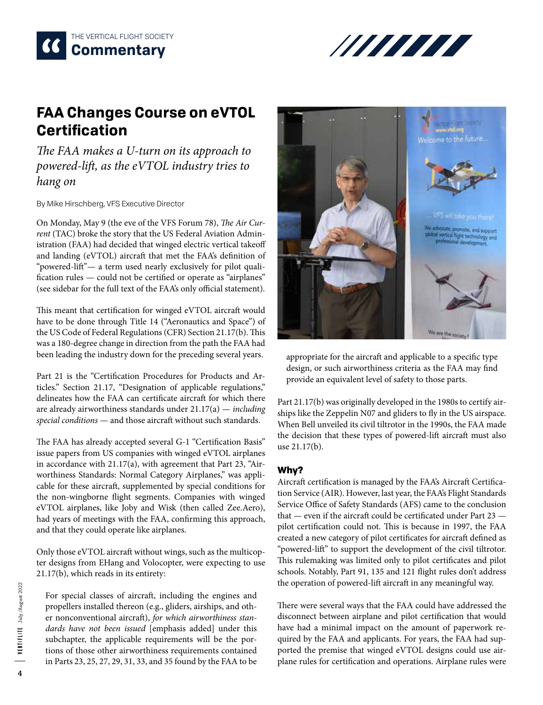



# **FAA Changes Course on eVTOL Certification**

*The FAA makes a U-turn on its approach to powered-lift, as the eVTOL industry tries to hang on*

By Mike Hirschberg, VFS Executive Director

On Monday, May 9 (the eve of the VFS Forum 78), *The Air Current* (TAC) broke the story that the US Federal Aviation Administration (FAA) had decided that winged electric vertical takeoff and landing (eVTOL) aircraft that met the FAA's definition of "powered-lift"— a term used nearly exclusively for pilot qualification rules — could not be certified or operate as "airplanes" (see sidebar for the full text of the FAA's only official statement).

This meant that certification for winged eVTOL aircraft would have to be done through Title 14 ("Aeronautics and Space") of the US Code of Federal Regulations (CFR) Section 21.17(b). This was a 180-degree change in direction from the path the FAA had been leading the industry down for the preceding several years.

Part 21 is the "Certification Procedures for Products and Articles." Section 21.17, "Designation of applicable regulations," delineates how the FAA can certificate aircraft for which there are already airworthiness standards under 21.17(a) — *including special conditions* — and those aircraft without such standards.

The FAA has already accepted several G-1 "Certification Basis" issue papers from US companies with winged eVTOL airplanes in accordance with 21.17(a), with agreement that Part 23, "Airworthiness Standards: Normal Category Airplanes," was applicable for these aircraft, supplemented by special conditions for the non-wingborne flight segments. Companies with winged eVTOL airplanes, like Joby and Wisk (then called Zee.Aero), had years of meetings with the FAA, confirming this approach, and that they could operate like airplanes.

Only those eVTOL aircraft without wings, such as the multicopter designs from EHang and Volocopter, were expecting to use 21.17(b), which reads in its entirety:

For special classes of aircraft, including the engines and propellers installed thereon (e.g., gliders, airships, and other nonconventional aircraft), *for which airworthiness standards have not been issued* [emphasis added] under this subchapter, the applicable requirements will be the portions of those other airworthiness requirements contained in Parts 23, 25, 27, 29, 31, 33, and 35 found by the FAA to be



appropriate for the aircraft and applicable to a specific type design, or such airworthiness criteria as the FAA may find provide an equivalent level of safety to those parts.

Part 21.17(b) was originally developed in the 1980s to certify airships like the Zeppelin N07 and gliders to fly in the US airspace. When Bell unveiled its civil tiltrotor in the 1990s, the FAA made the decision that these types of powered-lift aircraft must also use 21.17(b).

#### Why?

Aircraft certification is managed by the FAA's Aircraft Certification Service (AIR). However, last year, the FAA's Flight Standards Service Office of Safety Standards (AFS) came to the conclusion that — even if the aircraft could be certificated under Part 23 pilot certification could not. This is because in 1997, the FAA created a new category of pilot certificates for aircraft defined as "powered-lift" to support the development of the civil tiltrotor. This rulemaking was limited only to pilot certificates and pilot schools. Notably, Part 91, 135 and 121 flight rules don't address the operation of powered-lift aircraft in any meaningful way.

There were several ways that the FAA could have addressed the disconnect between airplane and pilot certification that would have had a minimal impact on the amount of paperwork required by the FAA and applicants. For years, the FAA had supported the premise that winged eVTOL designs could use airplane rules for certification and operations. Airplane rules were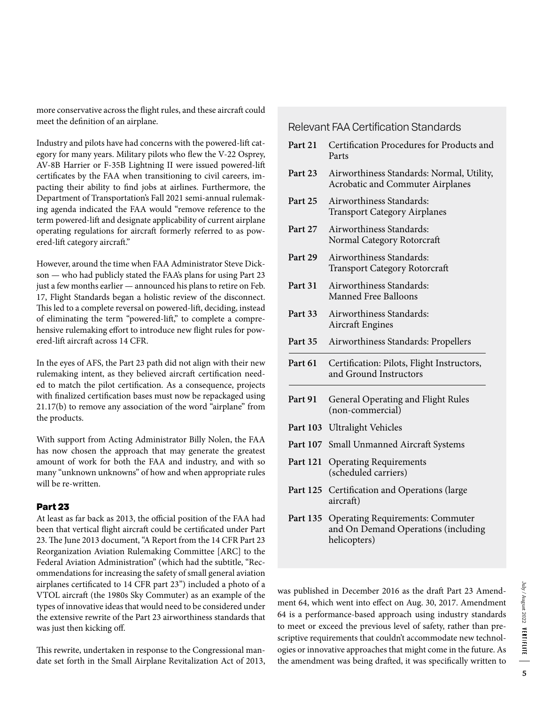more conservative across the flight rules, and these aircraft could meet the definition of an airplane.

Industry and pilots have had concerns with the powered-lift category for many years. Military pilots who flew the V-22 Osprey, AV-8B Harrier or F-35B Lightning II were issued powered-lift certificates by the FAA when transitioning to civil careers, impacting their ability to find jobs at airlines. Furthermore, the Department of Transportation's Fall 2021 semi-annual rulemaking agenda indicated the FAA would "remove reference to the term powered-lift and designate applicability of current airplane operating regulations for aircraft formerly referred to as powered-lift category aircraft."

However, around the time when FAA Administrator Steve Dickson — who had publicly stated the FAA's plans for using Part 23 just a few months earlier — announced his plans to retire on Feb. 17, Flight Standards began a holistic review of the disconnect. This led to a complete reversal on powered-lift, deciding, instead of eliminating the term "powered-lift," to complete a comprehensive rulemaking effort to introduce new flight rules for powered-lift aircraft across 14 CFR.

In the eyes of AFS, the Part 23 path did not align with their new rulemaking intent, as they believed aircraft certification needed to match the pilot certification. As a consequence, projects with finalized certification bases must now be repackaged using 21.17(b) to remove any association of the word "airplane" from the products.

With support from Acting Administrator Billy Nolen, the FAA has now chosen the approach that may generate the greatest amount of work for both the FAA and industry, and with so many "unknown unknowns" of how and when appropriate rules will be re-written.

#### Part 23

At least as far back as 2013, the official position of the FAA had been that vertical flight aircraft could be certificated under Part 23. The June 2013 document, "A Report from the 14 CFR Part 23 Reorganization Aviation Rulemaking Committee [ARC] to the Federal Aviation Administration" (which had the subtitle, "Recommendations for increasing the safety of small general aviation airplanes certificated to 14 CFR part 23") included a photo of a VTOL aircraft (the 1980s Sky Commuter) as an example of the types of innovative ideas that would need to be considered under the extensive rewrite of the Part 23 airworthiness standards that was just then kicking off.

This rewrite, undertaken in response to the Congressional mandate set forth in the Small Airplane Revitalization Act of 2013,

### Relevant FAA Certification Standards

| Part 21         | Certification Procedures for Products and<br>Parts                                             |
|-----------------|------------------------------------------------------------------------------------------------|
| Part 23         | Airworthiness Standards: Normal, Utility,<br><b>Acrobatic and Commuter Airplanes</b>           |
| Part 25         | Airworthiness Standards:<br><b>Transport Category Airplanes</b>                                |
| Part 27         | Airworthiness Standards:<br>Normal Category Rotorcraft                                         |
| Part 29         | Airworthiness Standards:<br><b>Transport Category Rotorcraft</b>                               |
| Part 31         | Airworthiness Standards:<br><b>Manned Free Balloons</b>                                        |
| Part 33         | Airworthiness Standards:<br><b>Aircraft Engines</b>                                            |
| Part 35         | Airworthiness Standards: Propellers                                                            |
| Part 61         | Certification: Pilots, Flight Instructors,<br>and Ground Instructors                           |
| Part 91         | General Operating and Flight Rules<br>(non-commercial)                                         |
| Part 103        | <b>Ultralight Vehicles</b>                                                                     |
| <b>Part 107</b> | Small Unmanned Aircraft Systems                                                                |
| Part 121        | <b>Operating Requirements</b><br>(scheduled carriers)                                          |
| Part 125        | Certification and Operations (large<br>aircraft)                                               |
| Part 135        | <b>Operating Requirements: Commuter</b><br>and On Demand Operations (including<br>helicopters) |

was published in December 2016 as the draft Part 23 Amendment 64, which went into effect on Aug. 30, 2017. Amendment 64 is a performance-based approach using industry standards to meet or exceed the previous level of safety, rather than prescriptive requirements that couldn't accommodate new technologies or innovative approaches that might come in the future. As the amendment was being drafted, it was specifically written to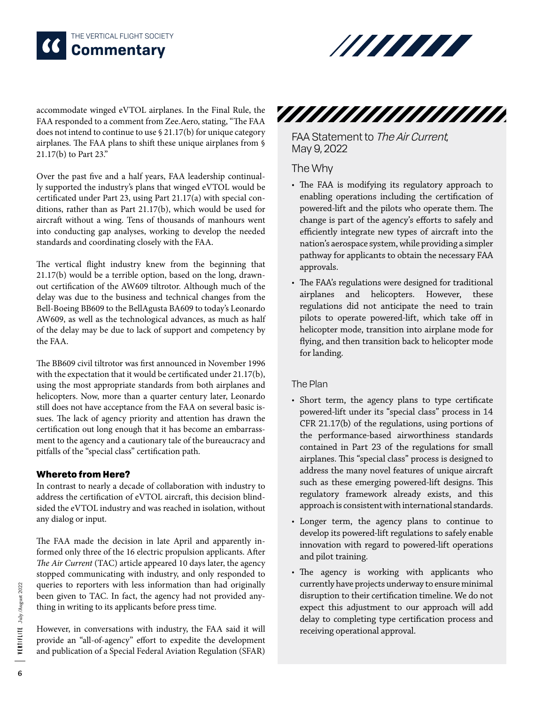



accommodate winged eVTOL airplanes. In the Final Rule, the FAA responded to a comment from Zee.Aero, stating, "The FAA does not intend to continue to use § 21.17(b) for unique category airplanes. The FAA plans to shift these unique airplanes from § 21.17(b) to Part 23."

Over the past five and a half years, FAA leadership continually supported the industry's plans that winged eVTOL would be certificated under Part 23, using Part 21.17(a) with special conditions, rather than as Part 21.17(b), which would be used for aircraft without a wing. Tens of thousands of manhours went into conducting gap analyses, working to develop the needed standards and coordinating closely with the FAA.

The vertical flight industry knew from the beginning that 21.17(b) would be a terrible option, based on the long, drawnout certification of the AW609 tiltrotor. Although much of the delay was due to the business and technical changes from the Bell-Boeing BB609 to the BellAgusta BA609 to today's Leonardo AW609, as well as the technological advances, as much as half of the delay may be due to lack of support and competency by the FAA.

The BB609 civil tiltrotor was first announced in November 1996 with the expectation that it would be certificated under 21.17(b), using the most appropriate standards from both airplanes and helicopters. Now, more than a quarter century later, Leonardo still does not have acceptance from the FAA on several basic issues. The lack of agency priority and attention has drawn the certification out long enough that it has become an embarrassment to the agency and a cautionary tale of the bureaucracy and pitfalls of the "special class" certification path.

#### Whereto from Here?

In contrast to nearly a decade of collaboration with industry to address the certification of eVTOL aircraft, this decision blindsided the eVTOL industry and was reached in isolation, without any dialog or input.

The FAA made the decision in late April and apparently informed only three of the 16 electric propulsion applicants. After *The Air Current* (TAC) article appeared 10 days later, the agency stopped communicating with industry, and only responded to queries to reporters with less information than had originally been given to TAC. In fact, the agency had not provided anything in writing to its applicants before press time.

However, in conversations with industry, the FAA said it will provide an "all-of-agency" effort to expedite the development and publication of a Special Federal Aviation Regulation (SFAR) FAA Statement to The Air Current, May 9, 2022

## The Why

- The FAA is modifying its regulatory approach to enabling operations including the certification of powered-lift and the pilots who operate them. The change is part of the agency's efforts to safely and efficiently integrate new types of aircraft into the nation's aerospace system, while providing a simpler pathway for applicants to obtain the necessary FAA approvals.
- The FAA's regulations were designed for traditional airplanes and helicopters. However, these regulations did not anticipate the need to train pilots to operate powered-lift, which take off in helicopter mode, transition into airplane mode for flying, and then transition back to helicopter mode for landing.

#### The Plan

- Short term, the agency plans to type certificate powered-lift under its "special class" process in 14 CFR 21.17(b) of the regulations, using portions of the performance-based airworthiness standards contained in Part 23 of the regulations for small airplanes. This "special class" process is designed to address the many novel features of unique aircraft such as these emerging powered-lift designs. This regulatory framework already exists, and this approach is consistent with international standards.
- Longer term, the agency plans to continue to develop its powered-lift regulations to safely enable innovation with regard to powered-lift operations and pilot training.
- The agency is working with applicants who currently have projects underway to ensure minimal disruption to their certification timeline. We do not expect this adjustment to our approach will add delay to completing type certification process and receiving operational approval.